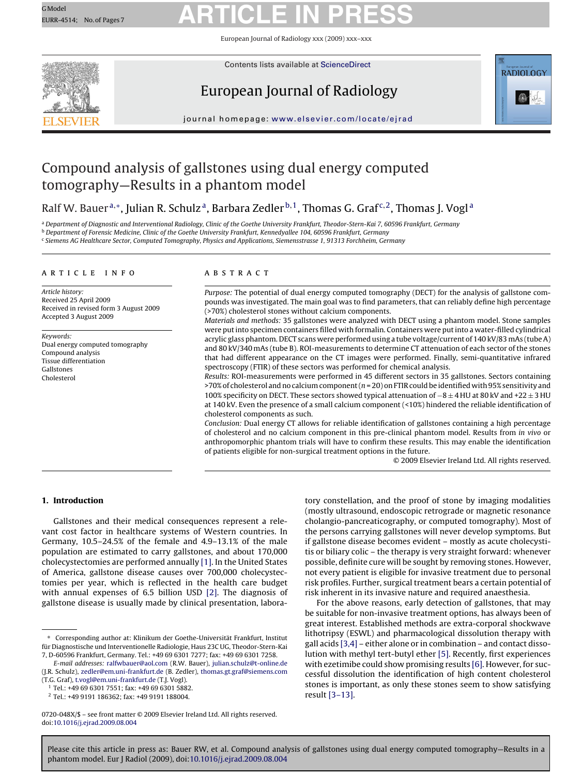## GModel EURR-4514; No.of Pages7 **ARTICLE IN PRESS**

European Journal of Radiology xxx (2009) xxx–xxx



Contents lists available at [ScienceDirect](http://www.sciencedirect.com/science/journal/0720048X)

### European Journal of Radiology



journal homepage: [www.elsevier.com/locate/ejrad](http://www.elsevier.com/locate/ejrad)

### Compound analysis of gallstones using dual energy computed tomography—Results in a phantom model

Ralf W. Bauer<sup>a,∗</sup>, Julian R. Schulz<sup>a</sup>, Barbara Zedler<sup>b,1</sup>, Thomas G. Graf<sup>c,2</sup>, Thomas J. Vogl<sup>a</sup>

a Department of Diagnostic and Interventional Radiology, Clinic of the Goethe University Frankfurt, Theodor-Stern-Kai 7, 60596 Frankfurt, Germany  $b$  Department of Forensic Medicine, Clinic of the Goethe University Frankfurt, Kennedyallee 104, 60596 Frankfurt, Germany

<sup>c</sup> Siemens AG Healthcare Sector, Computed Tomography, Physics and Applications, Siemensstrasse 1, 91313 Forchheim, Germany

#### article info

Article history: Received 25 April 2009 Received in revised form 3 August 2009 Accepted 3 August 2009

Keywords: Dual energy computed tomography Compound analysis Tissue differentiation Gallstones Cholesterol

#### ABSTRACT

Purpose: The potential of dual energy computed tomography (DECT) for the analysis of gallstone compounds was investigated. The main goal was to find parameters, that can reliably define high percentage (>70%) cholesterol stones without calcium components.

Materials and methods: 35 gallstones were analyzed with DECT using a phantom model. Stone samples were put into specimen containers filled with formalin. Containers were put into a water-filled cylindrical acrylic glass phantom. DECT scans were performed using a tube voltage/current of 140 kV/83 mAs (tube A) and 80 kV/340 mAs (tube B). ROI-measurements to determine CT attenuation of each sector of the stones that had different appearance on the CT images were performed. Finally, semi-quantitative infrared spectroscopy (FTIR) of these sectors was performed for chemical analysis.

Results: ROI-measurements were performed in 45 different sectors in 35 gallstones. Sectors containing  $>70\%$  of cholesterol and no calcium component ( $n = 20$ ) on FTIR could be identified with 95% sensitivity and 100% specificity on DECT. These sectors showed typical attenuation of −8 ± 4 HU at 80 kV and +22 ± 3 HU at 140 kV. Even the presence of a small calcium component (<10%) hindered the reliable identification of cholesterol components as such.

Conclusion: Dual energy CT allows for reliable identification of gallstones containing a high percentage of cholesterol and no calcium component in this pre-clinical phantom model. Results from in vivo or anthropomorphic phantom trials will have to confirm these results. This may enable the identification of patients eligible for non-surgical treatment options in the future.

© 2009 Elsevier Ireland Ltd. All rights reserved.

#### **1. Introduction**

Gallstones and their medical consequences represent a relevant cost factor in healthcare systems of Western countries. In Germany, 10.5–24.5% of the female and 4.9–13.1% of the male population are estimated to carry gallstones, and about 170,000 cholecystectomies are performed annually [\[1\]. I](#page-5-0)n the United States of America, gallstone disease causes over 700,000 cholecystectomies per year, which is reflected in the health care budget with annual expenses of 6.5 billion USD [\[2\].](#page-5-0) The diagnosis of gallstone disease is usually made by clinical presentation, labora-

<sup>1</sup> Tel.: +49 69 6301 7551; fax: +49 69 6301 5882. <sup>2</sup> Tel.: +49 9191 186362; fax: +49 9191 188004.

doi:[10.1016/j.ejrad.2009.08.004](dx.doi.org/10.1016/j.ejrad.2009.08.004)

tory constellation, and the proof of stone by imaging modalities (mostly ultrasound, endoscopic retrograde or magnetic resonance cholangio-pancreaticography, or computed tomography). Most of the persons carrying gallstones will never develop symptoms. But if gallstone disease becomes evident – mostly as acute cholecystitis or biliary colic – the therapy is very straight forward: whenever possible, definite cure will be sought by removing stones. However, not every patient is eligible for invasive treatment due to personal risk profiles. Further, surgical treatment bears a certain potential of risk inherent in its invasive nature and required anaesthesia.

For the above reasons, early detection of gallstones, that may be suitable for non-invasive treatment options, has always been of great interest. Established methods are extra-corporal shockwave lithotripsy (ESWL) and pharmacological dissolution therapy with gall acids [\[3,4\]](#page-5-0) – either alone or in combination – and contact dissolution with methyl tert-butyl ether [\[5\]. R](#page-5-0)ecently, first experiences with ezetimibe could show promising results [\[6\]. H](#page-5-0)owever, for successful dissolution the identification of high content cholesterol stones is important, as only these stones seem to show satisfying result [\[3–13\].](#page-5-0)

<sup>∗</sup> Corresponding author at: Klinikum der Goethe-Universität Frankfurt, Institut für Diagnostische und Interventionelle Radiologie, Haus 23C UG, Theodor-Stern-Kai 7, D-60596 Frankfurt, Germany. Tel.: +49 69 6301 7277; fax: +49 69 6301 7258.

E-mail addresses: [ralfwbauer@aol.com](mailto:ralfwbauer@aol.com) (R.W. Bauer), [julian.schulz@t-online.de](mailto:julian.schulz@t-online.de) (J.R. Schulz), [zedler@em.uni-frankfurt.de](mailto:zedler@em.uni-frankfurt.de) (B. Zedler), [thomas.gt.graf@siemens.com](mailto:thomas.gt.graf@siemens.com) (T.G. Graf), [t.vogl@em.uni-frankfurt.de](mailto:t.vogl@em.uni-frankfurt.de) (T.J. Vogl).

<sup>0720-048</sup>X/\$ – see front matter © 2009 Elsevier Ireland Ltd. All rights reserved.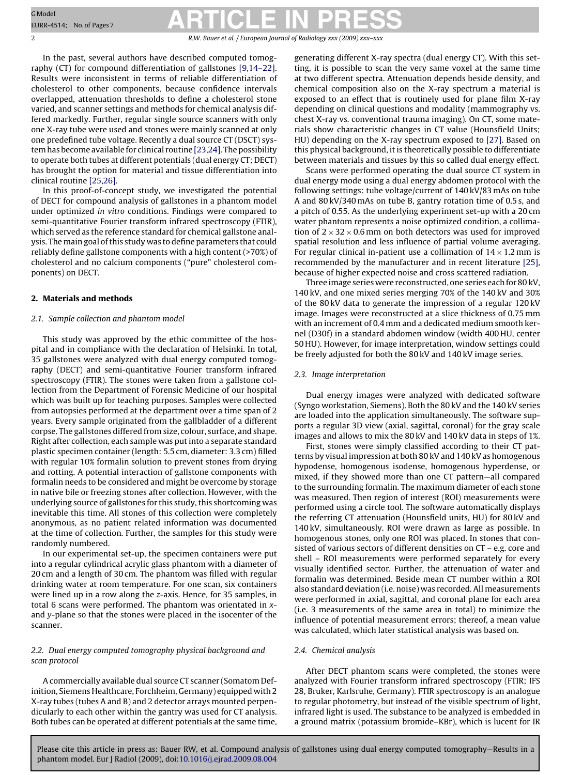## GModel RIGRAFICLE IN PRESS

2 R.W. Bauer et al. / European Journal of Radiology *xxx (2009) xxx–xxx*

In the past, several authors have described computed tomography (CT) for compound differentiation of gallstones [\[9,14–22\].](#page-6-0) Results were inconsistent in terms of reliable differentiation of cholesterol to other components, because confidence intervals overlapped, attenuation thresholds to define a cholesterol stone varied, and scanner settings and methods for chemical analysis differed markedly. Further, regular single source scanners with only one X-ray tube were used and stones were mainly scanned at only one predefined tube voltage. Recently a dual source CT (DSCT) system has become available for clinical routine [\[23,24\]. T](#page-6-0)he possibility to operate both tubes at different potentials (dual energy CT; DECT) has brought the option for material and tissue differentiation into clinical routine [\[25,26\].](#page-6-0)

In this proof-of-concept study, we investigated the potential of DECT for compound analysis of gallstones in a phantom model under optimized in vitro conditions. Findings were compared to semi-quantitative Fourier transform infrared spectroscopy (FTIR), which served as the reference standard for chemical gallstone analysis. The main goal of this study was to define parameters that could reliably define gallstone components with a high content (>70%) of cholesterol and no calcium components ("pure" cholesterol components) on DECT.

#### **2. Materials and methods**

#### 2.1. Sample collection and phantom model

This study was approved by the ethic committee of the hospital and in compliance with the declaration of Helsinki. In total, 35 gallstones were analyzed with dual energy computed tomography (DECT) and semi-quantitative Fourier transform infrared spectroscopy (FTIR). The stones were taken from a gallstone collection from the Department of Forensic Medicine of our hospital which was built up for teaching purposes. Samples were collected from autopsies performed at the department over a time span of 2 years. Every sample originated from the gallbladder of a different corpse. The gallstones differed from size, colour, surface, and shape. Right after collection, each sample was put into a separate standard plastic specimen container (length: 5.5 cm, diameter: 3.3 cm) filled with regular 10% formalin solution to prevent stones from drying and rotting. A potential interaction of gallstone components with formalin needs to be considered and might be overcome by storage in native bile or freezing stones after collection. However, with the underlying source of gallstones for this study, this shortcoming was inevitable this time. All stones of this collection were completely anonymous, as no patient related information was documented at the time of collection. Further, the samples for this study were randomly numbered.

In our experimental set-up, the specimen containers were put into a regular cylindrical acrylic glass phantom with a diameter of 20 cm and a length of 30 cm. The phantom was filled with regular drinking water at room temperature. For one scan, six containers were lined up in a row along the z-axis. Hence, for 35 samples, in total 6 scans were performed. The phantom was orientated in xand  $\nu$ -plane so that the stones were placed in the isocenter of the scanner.

#### 2.2. Dual energy computed tomography physical background and scan protocol

A commercially available dual source CT scanner (Somatom Definition, Siemens Healthcare, Forchheim, Germany) equipped with 2 X-ray tubes (tubes A and B) and 2 detector arrays mounted perpendicularly to each other within the gantry was used for CT analysis. Both tubes can be operated at different potentials at the same time, generating different X-ray spectra (dual energy CT). With this setting, it is possible to scan the very same voxel at the same time at two different spectra. Attenuation depends beside density, and chemical composition also on the X-ray spectrum a material is exposed to an effect that is routinely used for plane film X-ray depending on clinical questions and modality (mammography vs. chest X-ray vs. conventional trauma imaging). On CT, some materials show characteristic changes in CT value (Hounsfield Units; HU) depending on the X-ray spectrum exposed to [\[27\]. B](#page-6-0)ased on this physical background, it is theoretically possible to differentiate between materials and tissues by this so called dual energy effect.

Scans were performed operating the dual source CT system in dual energy mode using a dual energy abdomen protocol with the following settings: tube voltage/current of 140 kV/83 mAs on tube A and 80 kV/340 mAs on tube B, gantry rotation time of 0.5 s, and a pitch of 0.55. As the underlying experiment set-up with a 20 cm water phantom represents a noise optimized condition, a collimation of  $2 \times 32 \times 0.6$  mm on both detectors was used for improved spatial resolution and less influence of partial volume averaging. For regular clinical in-patient use a collimation of  $14 \times 1.2$  mm is recommended by the manufacturer and in recent literature [\[25\],](#page-6-0) because of higher expected noise and cross scattered radiation.

Three image series were reconstructed, one series each for 80 kV, 140 kV, and one mixed series merging 70% of the 140 kV and 30% of the 80 kV data to generate the impression of a regular 120 kV image. Images were reconstructed at a slice thickness of 0.75 mm with an increment of 0.4 mm and a dedicated medium smooth kernel (D30f) in a standard abdomen window (width 400 HU, center 50 HU). However, for image interpretation, window settings could be freely adjusted for both the 80 kV and 140 kV image series.

#### 2.3. Image interpretation

Dual energy images were analyzed with dedicated software (Syngo workstation, Siemens). Both the 80 kV and the 140 kV series are loaded into the application simultaneously. The software supports a regular 3D view (axial, sagittal, coronal) for the gray scale images and allows to mix the 80 kV and 140 kV data in steps of 1%.

First, stones were simply classified according to their CT patterns by visual impression at both 80 kV and 140 kV as homogenous hypodense, homogenous isodense, homogenous hyperdense, or mixed, if they showed more than one CT pattern—all compared to the surrounding formalin. The maximum diameter of each stone was measured. Then region of interest (ROI) measurements were performed using a circle tool. The software automatically displays the referring CT attenuation (Hounsfield units, HU) for 80 kV and 140 kV, simultaneously. ROI were drawn as large as possible. In homogenous stones, only one ROI was placed. In stones that consisted of various sectors of different densities on CT – e.g. core and shell – ROI measurements were performed separately for every visually identified sector. Further, the attenuation of water and formalin was determined. Beside mean CT number within a ROI also standard deviation (i.e. noise) was recorded. All measurements were performed in axial, sagittal, and coronal plane for each area (i.e. 3 measurements of the same area in total) to minimize the influence of potential measurement errors; thereof, a mean value was calculated, which later statistical analysis was based on.

#### 2.4. Chemical analysis

After DECT phantom scans were completed, the stones were analyzed with Fourier transform infrared spectroscopy (FTIR; IFS 28, Bruker, Karlsruhe, Germany). FTIR spectroscopy is an analogue to regular photometry, but instead of the visible spectrum of light, infrared light is used. The substance to be analyzed is embedded in a ground matrix (potassium bromide–KBr), which is lucent for IR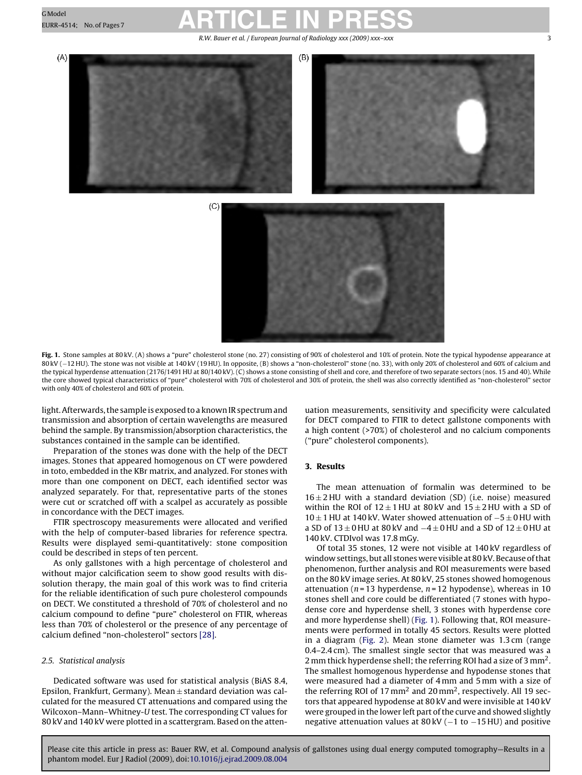$(A)$ 

### GModel EURR-4514; No.of Pages7 **ARTICLE IN PRESS**

R.W. Bauer et al. / European Journal of Radiology *xxx (2009) xxx–xxx* 3



**Fig. 1.** Stone samples at 80 kV. (A) shows a "pure" cholesterol stone (no. 27) consisting of 90% of cholesterol and 10% of protein. Note the typical hypodense appearance at 80 kV (−12 HU). The stone was not visible at 140 kV (19 HU). In opposite, (B) shows a "non-cholesterol" stone (no. 33), with only 20% of cholesterol and 60% of calcium and the typical hyperdense attenuation (2176/1491 HU at 80/140 kV). (C) shows a stone consisting of shell and core, and therefore of two separate sectors (nos. 15 and 40). While the core showed typical characteristics of "pure" cholesterol with 70% of cholesterol and 30% of protein, the shell was also correctly identified as "non-cholesterol" sector with only 40% of cholesterol and 60% of protein.

light. Afterwards, the sample is exposed to a known IR spectrum and transmission and absorption of certain wavelengths are measured behind the sample. By transmission/absorption characteristics, the substances contained in the sample can be identified.

Preparation of the stones was done with the help of the DECT images. Stones that appeared homogenous on CT were powdered in toto, embedded in the KBr matrix, and analyzed. For stones with more than one component on DECT, each identified sector was analyzed separately. For that, representative parts of the stones were cut or scratched off with a scalpel as accurately as possible in concordance with the DECT images.

FTIR spectroscopy measurements were allocated and verified with the help of computer-based libraries for reference spectra. Results were displayed semi-quantitatively: stone composition could be described in steps of ten percent.

As only gallstones with a high percentage of cholesterol and without major calcification seem to show good results with dissolution therapy, the main goal of this work was to find criteria for the reliable identification of such pure cholesterol compounds on DECT. We constituted a threshold of 70% of cholesterol and no calcium compound to define "pure" cholesterol on FTIR, whereas less than 70% of cholesterol or the presence of any percentage of calcium defined "non-cholesterol" sectors [\[28\].](#page-6-0)

#### 2.5. Statistical analysis

Dedicated software was used for statistical analysis (BiAS 8.4, Epsilon, Frankfurt, Germany). Mean  $\pm$  standard deviation was calculated for the measured CT attenuations and compared using the Wilcoxon–Mann–Whitney-U test. The corresponding CT values for 80 kV and 140 kV were plotted in a scattergram. Based on the attenuation measurements, sensitivity and specificity were calculated for DECT compared to FTIR to detect gallstone components with a high content (>70%) of cholesterol and no calcium components ("pure" cholesterol components).

#### **3. Results**

The mean attenuation of formalin was determined to be  $16 \pm 2$  HU with a standard deviation (SD) (i.e. noise) measured within the ROI of  $12 \pm 1$  HU at 80 kV and  $15 \pm 2$  HU with a SD of  $10 + 1$  HU at 140 kV. Water showed attenuation of  $-5 + 0$  HU with a SD of 13  $\pm$  0 HU at 80 kV and  $-4 \pm 0$  HU and a SD of 12  $\pm$  0 HU at 140 kV. CTDIvol was 17.8 mGy.

Of total 35 stones, 12 were not visible at 140 kV regardless of window settings, but all stones were visible at 80 kV. Because of that phenomenon, further analysis and ROI measurements were based on the 80 kV image series. At 80 kV, 25 stones showed homogenous attenuation ( $n = 13$  hyperdense,  $n = 12$  hypodense), whereas in 10 stones shell and core could be differentiated (7 stones with hypodense core and hyperdense shell, 3 stones with hyperdense core and more hyperdense shell) (Fig. 1). Following that, ROI measurements were performed in totally 45 sectors. Results were plotted in a diagram ([Fig. 2\)](#page-3-0). Mean stone diameter was 1.3 cm (range 0.4–2.4 cm). The smallest single sector that was measured was a 2 mm thick hyperdense shell; the referring ROI had a size of 3 mm<sup>2</sup>. The smallest homogenous hyperdense and hypodense stones that were measured had a diameter of 4 mm and 5 mm with a size of the referring ROI of 17 mm<sup>2</sup> and 20 mm<sup>2</sup>, respectively. All 19 sectors that appeared hypodense at 80 kV and were invisible at 140 kV were grouped in the lower left part of the curve and showed slightly negative attenuation values at  $80 \, \text{kV}$  ( $-1$  to  $-15 \, \text{HU}$ ) and positive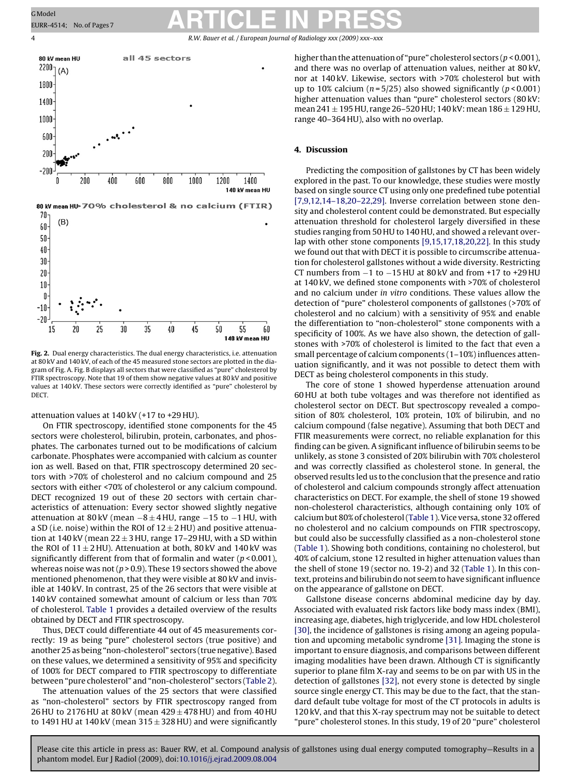### <span id="page-3-0"></span>GModel RIGRAFICLE IN PRESS

4 R.W. Bauer et al. / European Journal of Radiology *xxx (2009) xxx–xxx*



**Fig. 2.** Dual energy characteristics. The dual energy characteristics, i.e. attenuation at 80 kV and 140 kV, of each of the 45 measured stone sectors are plotted in the diagram of Fig. A. Fig. B displays all sectors that were classified as "pure" cholesterol by FTIR spectroscopy. Note that 19 of them show negative values at 80 kV and positive values at 140 kV. These sectors were correctly identified as "pure" cholesterol by DECT.

attenuation values at 140 kV (+17 to +29 HU).

On FTIR spectroscopy, identified stone components for the 45 sectors were cholesterol, bilirubin, protein, carbonates, and phosphates. The carbonates turned out to be modifications of calcium carbonate. Phosphates were accompanied with calcium as counter ion as well. Based on that, FTIR spectroscopy determined 20 sectors with >70% of cholesterol and no calcium compound and 25 sectors with either <70% of cholesterol or any calcium compound. DECT recognized 19 out of these 20 sectors with certain characteristics of attenuation: Every sector showed slightly negative attenuation at 80 kV (mean  $-8 \pm 4$  HU, range  $-15$  to  $-1$  HU, with a SD (i.e. noise) within the ROI of  $12 \pm 2$  HU) and positive attenuation at 140 kV (mean  $22 \pm 3$  HU, range 17-29 HU, with a SD within the ROI of  $11 \pm 2$  HU). Attenuation at both, 80 kV and 140 kV was significantly different from that of formalin and water ( $p < 0.001$ ), whereas noise was not ( $p > 0.9$ ). These 19 sectors showed the above mentioned phenomenon, that they were visible at 80 kV and invisible at 140 kV. In contrast, 25 of the 26 sectors that were visible at 140 kV contained somewhat amount of calcium or less than 70% of cholesterol. [Table 1](#page-4-0) provides a detailed overview of the results obtained by DECT and FTIR spectroscopy.

Thus, DECT could differentiate 44 out of 45 measurements correctly: 19 as being "pure" cholesterol sectors (true positive) and another 25 as being "non-cholesterol" sectors (true negative). Based on these values, we determined a sensitivity of 95% and specificity of 100% for DECT compared to FTIR spectroscopy to differentiate between "pure cholesterol" and "non-cholesterol" sectors ([Table 2\).](#page-5-0)

The attenuation values of the 25 sectors that were classified as "non-cholesterol" sectors by FTIR spectroscopy ranged from 26 HU to 2176 HU at 80 kV (mean  $429 \pm 478$  HU) and from 40 HU to 1491 HU at 140 kV (mean  $315 \pm 328$  HU) and were significantly higher than the attenuation of "pure" cholesterol sectors ( $p < 0.001$ ), and there was no overlap of attenuation values, neither at 80 kV, nor at 140 kV. Likewise, sectors with >70% cholesterol but with up to 10% calcium ( $n = 5/25$ ) also showed significantly ( $p < 0.001$ ) higher attenuation values than "pure" cholesterol sectors (80 kV: mean 241  $\pm$  195 HU, range 26-520 HU; 140 kV: mean 186  $\pm$  129 HU, range 40–364 HU), also with no overlap.

#### **4. Discussion**

Predicting the composition of gallstones by CT has been widely explored in the past. To our knowledge, these studies were mostly based on single source CT using only one predefined tube potential [\[7,9,12,14–18,20–22,29\]. I](#page-5-0)nverse correlation between stone density and cholesterol content could be demonstrated. But especially attenuation threshold for cholesterol largely diversified in these studies ranging from 50 HU to 140 HU, and showed a relevant overlap with other stone components [\[9,15,17,18,20,22\]. I](#page-6-0)n this study we found out that with DECT it is possible to circumscribe attenuation for cholesterol gallstones without a wide diversity. Restricting CT numbers from  $-1$  to  $-15$  HU at 80 kV and from +17 to +29 HU at 140 kV, we defined stone components with >70% of cholesterol and no calcium under in vitro conditions. These values allow the detection of "pure" cholesterol components of gallstones (>70% of cholesterol and no calcium) with a sensitivity of 95% and enable the differentiation to "non-cholesterol" stone components with a specificity of 100%. As we have also shown, the detection of gallstones with >70% of cholesterol is limited to the fact that even a small percentage of calcium components (1–10%) influences attenuation significantly, and it was not possible to detect them with DECT as being cholesterol components in this study.

The core of stone 1 showed hyperdense attenuation around 60 HU at both tube voltages and was therefore not identified as cholesterol sector on DECT. But spectroscopy revealed a composition of 80% cholesterol, 10% protein, 10% of bilirubin, and no calcium compound (false negative). Assuming that both DECT and FTIR measurements were correct, no reliable explanation for this finding can be given. A significant influence of bilirubin seems to be unlikely, as stone 3 consisted of 20% bilirubin with 70% cholesterol and was correctly classified as cholesterol stone. In general, the observed results led us to the conclusion that the presence and ratio of cholesterol and calcium compounds strongly affect attenuation characteristics on DECT. For example, the shell of stone 19 showed non-cholesterol characteristics, although containing only 10% of calcium but 80% of cholesterol [\(Table 1\).](#page-4-0) Vice versa, stone 32 offered no cholesterol and no calcium compounds on FTIR spectroscopy, but could also be successfully classified as a non-cholesterol stone [\(Table 1\).](#page-4-0) Showing both conditions, containing no cholesterol, but 40% of calcium, stone 12 resulted in higher attenuation values than the shell of stone 19 (sector no. 19-2) and 32 ([Table 1\).](#page-4-0) In this context, proteins and bilirubin do not seem to have significant influence on the appearance of gallstone on DECT.

Gallstone disease concerns abdominal medicine day by day. Associated with evaluated risk factors like body mass index (BMI), increasing age, diabetes, high triglyceride, and low HDL cholesterol [\[30\], t](#page-6-0)he incidence of gallstones is rising among an ageing population and upcoming metabolic syndrome [\[31\]. I](#page-6-0)maging the stone is important to ensure diagnosis, and comparisons between different imaging modalities have been drawn. Although CT is significantly superior to plane film X-ray and seems to be on par with US in the detection of gallstones [\[32\], n](#page-6-0)ot every stone is detected by single source single energy CT. This may be due to the fact, that the standard default tube voltage for most of the CT protocols in adults is 120 kV, and that this X-ray spectrum may not be suitable to detect "pure" cholesterol stones. In this study, 19 of 20 "pure" cholesterol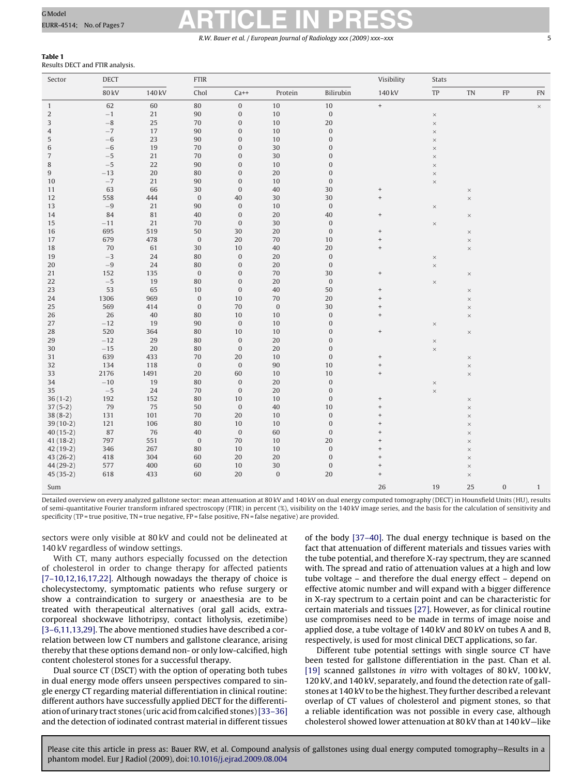# <span id="page-4-0"></span>GModel EURR-4514; No.of Pages7 **ARTICLE IN PRESS**

#### R.W. Bauer et al. / European Journal of Radiology *xxx (2009)*

#### **Table 1**

Results DECT and FTIR analysis.

| Sector         | <b>DECT</b> |        | <b>FTIR</b>      |                  |                  |                  | Visibility                       | <b>Stats</b> |          |                  |              |
|----------------|-------------|--------|------------------|------------------|------------------|------------------|----------------------------------|--------------|----------|------------------|--------------|
|                | 80 kV       | 140 kV | Chol             | $Ca++$           | Protein          | Bilirubin        | 140 kV                           | ${\rm TP}$   | TN       | ${\rm FP}$       | ${\sf FN}$   |
| $\mathbf{1}$   | 62          | 60     | 80               | $\boldsymbol{0}$ | 10               | $10\,$           | $^+$                             |              |          |                  | $\times$     |
| $\overline{2}$ | $-1$        | 21     | 90               | $\boldsymbol{0}$ | 10               | $\boldsymbol{0}$ |                                  | $\times$     |          |                  |              |
| 3              | $-8$        | 25     | 70               | $\overline{0}$   | 10               | 20               |                                  | $\times$     |          |                  |              |
| $\overline{4}$ | $-7$        | 17     | 90               | $\mathbf 0$      | 10               | $\boldsymbol{0}$ |                                  | $\times$     |          |                  |              |
| 5              | $-6$        | 23     | 90               | $\mathbf 0$      | 10               | $\boldsymbol{0}$ |                                  | $\times$     |          |                  |              |
| 6              | $-6$        | 19     | 70               | $\mathbf 0$      | 30               | $\mathbf 0$      |                                  | $\times$     |          |                  |              |
| $\overline{7}$ | $-5$        | 21     | 70               | $\mathbf 0$      | 30               | $\bf{0}$         |                                  | $\times$     |          |                  |              |
| 8              | $-5$        | 22     | 90               | $\mathbf 0$      | 10               | $\mathbf 0$      |                                  | $\times$     |          |                  |              |
| 9              | $-13$       | 20     | 80               | $\mathbf 0$      | 20               | $\mathbf 0$      |                                  | $\times$     |          |                  |              |
| 10             | $-7$        | 21     | 90               | $\bf{0}$         | 10               | $\boldsymbol{0}$ |                                  | $\times$     |          |                  |              |
| 11             | 63          | 66     | 30               | $\boldsymbol{0}$ | 40               | 30               | $\begin{array}{c} + \end{array}$ |              | $\times$ |                  |              |
| 12             | 558         | 444    | $\boldsymbol{0}$ | 40               | 30               | 30               | $\qquad \qquad +$                |              | $\times$ |                  |              |
| 13             | $-9$        | 21     | 90               | $\boldsymbol{0}$ | 10               | $\boldsymbol{0}$ |                                  | $\times$     |          |                  |              |
| 14             | 84          | 81     | 40               | $\boldsymbol{0}$ | 20               | 40               | $^{\mathrm{+}}$                  |              | $\times$ |                  |              |
| 15             | $-11$       | 21     | 70               | $\boldsymbol{0}$ | 30               | $\boldsymbol{0}$ |                                  | $\times$     |          |                  |              |
| 16             | 695         | 519    | 50               | 30               | 20               | $\boldsymbol{0}$ | $\! + \!$                        |              | $\times$ |                  |              |
| 17             | 679         | 478    | $\boldsymbol{0}$ | 20               | 70               | 10               | $^{\mathrm{+}}$                  |              | $\times$ |                  |              |
| 18             | 70          | 61     | 30               | 10               | 40               | 20               | $^{\mathrm{+}}$                  |              | $\times$ |                  |              |
| 19             | $-3$        | 24     | 80               | $\boldsymbol{0}$ | 20               | $\boldsymbol{0}$ |                                  | $\times$     |          |                  |              |
| 20             | $-9\,$      | 24     | 80               | $\boldsymbol{0}$ | 20               | $\boldsymbol{0}$ |                                  | $\times$     |          |                  |              |
| 21             | 152         | 135    | $\boldsymbol{0}$ | $\boldsymbol{0}$ | 70               | 30               | $^{\mathrm{+}}$                  |              | $\times$ |                  |              |
| 22             | $-5$        | 19     | 80               | $\boldsymbol{0}$ | 20               | $\boldsymbol{0}$ |                                  | $\times$     |          |                  |              |
| 23             | 53          | 65     | 10               | $\boldsymbol{0}$ | 40               | 50               | $^{\mathrm{+}}$                  |              | $\times$ |                  |              |
| 24             | 1306        | 969    | $\boldsymbol{0}$ | 10               | 70               | 20               | $\qquad \qquad +$                |              | $\times$ |                  |              |
| 25             | 569         | 414    | $\boldsymbol{0}$ | 70               | $\boldsymbol{0}$ | 30               | $^{\mathrm{+}}$                  |              | $\times$ |                  |              |
| 26             | 26          | 40     | 80               | 10               | 10               | $\boldsymbol{0}$ | $\! + \!$                        |              | $\times$ |                  |              |
| 27             | $-12$       | 19     | 90               | $\boldsymbol{0}$ | 10               | $\boldsymbol{0}$ |                                  | $\times$     |          |                  |              |
| 28             | 520         | 364    | 80               | 10               | 10               | $\boldsymbol{0}$ | $^{\mathrm{+}}$                  |              | $\times$ |                  |              |
| 29             | $-12$       | 29     | 80               | $\boldsymbol{0}$ | 20               | $\boldsymbol{0}$ |                                  | $\times$     |          |                  |              |
| 30             | $-15$       | 20     | 80               | $\boldsymbol{0}$ | 20               | $\boldsymbol{0}$ |                                  | $\times$     |          |                  |              |
| 31             | 639         | 433    | 70               | 20               | 10               | $\boldsymbol{0}$ | $\; +$                           |              | $\times$ |                  |              |
| 32             | 134         | 118    | $\boldsymbol{0}$ | $\boldsymbol{0}$ | 90               | 10               | $^{\mathrm{+}}$                  |              | $\times$ |                  |              |
| 33             | 2176        | 1491   | 20               | 60               | 10               | 10               | $^{\mathrm{+}}$                  |              | $\times$ |                  |              |
| 34             | $-10$       | 19     | 80               | $\boldsymbol{0}$ | 20               | $\boldsymbol{0}$ |                                  | $\times$     |          |                  |              |
| 35             | $-5$        | 24     | 70               | $\boldsymbol{0}$ | 20               | $\boldsymbol{0}$ |                                  | $\times$     |          |                  |              |
| $36(1-2)$      | 192         | 152    | 80               | 10               | 10               | $\boldsymbol{0}$ | $^+$                             |              | $\times$ |                  |              |
| $37(5-2)$      | 79          | 75     | 50               | $\boldsymbol{0}$ | 40               | 10               | $\! + \!$                        |              | $\times$ |                  |              |
| $38(8-2)$      | 131         | 101    | 70               | 20               | 10               | $\boldsymbol{0}$ | $\ddot{}$                        |              | $\times$ |                  |              |
| $39(10-2)$     | 121         | 106    | 80               | 10               | 10               | $\boldsymbol{0}$ | $\ddot{}$                        |              | $\times$ |                  |              |
| $40(15-2)$     | 87          | 76     | 40               | $\boldsymbol{0}$ | 60               | $\boldsymbol{0}$ | $\ddot{}$                        |              | $\times$ |                  |              |
| $41(18-2)$     | 797         | 551    | $\boldsymbol{0}$ | 70               | 10               | $20\,$           | $\ddot{}$                        |              | $\times$ |                  |              |
| $42(19-2)$     | 346         | 267    | 80               | 10               | 10               | $\boldsymbol{0}$ | $\ddot{}$                        |              | $\times$ |                  |              |
| $43(26-2)$     | 418         | 304    | 60               | 20               | $20\,$           | $\boldsymbol{0}$ | $\ddot{}$                        |              | $\times$ |                  |              |
| $44(29-2)$     | 577         | 400    | 60               | 10               | 30               | $\boldsymbol{0}$ | $\ddot{}$                        |              | $\times$ |                  |              |
| $45(35-2)$     | 618         | 433    | 60               | 20               | $\boldsymbol{0}$ | 20               | $\ddot{}$                        |              | $\times$ |                  |              |
| Sum            |             |        |                  |                  |                  |                  | 26                               | 19           | 25       | $\boldsymbol{0}$ | $\mathbf{1}$ |

Detailed overview on every analyzed gallstone sector: mean attenuation at 80 kV and 140 kV on dual energy computed tomography (DECT) in Hounsfield Units (HU), results of semi-quantitative Fourier transform infrared spectroscopy (FTIR) in percent (%), visibility on the 140 kV image series, and the basis for the calculation of sensitivity and specificity (TP = true positive, TN = true negative, FP = false positive, FN = false negative) are provided.

sectors were only visible at 80 kV and could not be delineated at 140 kV regardless of window settings.

With CT, many authors especially focussed on the detection of cholesterol in order to change therapy for affected patients [\[7–10,12,16,17,22\].](#page-5-0) Although nowadays the therapy of choice is cholecystectomy, symptomatic patients who refuse surgery or show a contraindication to surgery or anaesthesia are to be treated with therapeutical alternatives (oral gall acids, extracorporeal shockwave lithotripsy, contact litholysis, ezetimibe) [\[3–6,11,13,29\]. T](#page-5-0)he above mentioned studies have described a correlation between low CT numbers and gallstone clearance, arising thereby that these options demand non- or only low-calcified, high content cholesterol stones for a successful therapy.

Dual source CT (DSCT) with the option of operating both tubes in dual energy mode offers unseen perspectives compared to single energy CT regarding material differentiation in clinical routine: different authors have successfully applied DECT for the differentiation of urinary tract stones (uric acid from calcified stones)[\[33–36\]](#page-6-0) and the detection of iodinated contrast material in different tissues of the body [\[37–40\]. T](#page-6-0)he dual energy technique is based on the fact that attenuation of different materials and tissues varies with the tube potential, and therefore X-ray spectrum, they are scanned with. The spread and ratio of attenuation values at a high and low tube voltage – and therefore the dual energy effect – depend on effective atomic number and will expand with a bigger difference in X-ray spectrum to a certain point and can be characteristic for certain materials and tissues [\[27\]. H](#page-6-0)owever, as for clinical routine use compromises need to be made in terms of image noise and applied dose, a tube voltage of 140 kV and 80 kV on tubes A and B, respectively, is used for most clinical DECT applications, so far.

Different tube potential settings with single source CT have been tested for gallstone differentiation in the past. Chan et al. [\[19\]](#page-6-0) scanned gallstones in vitro with voltages of 80 kV, 100 kV, 120 kV, and 140 kV, separately, and found the detection rate of gallstones at 140 kV to be the highest. They further described a relevant overlap of CT values of cholesterol and pigment stones, so that a reliable identification was not possible in every case, although cholesterol showed lower attenuation at 80 kV than at 140 kV—like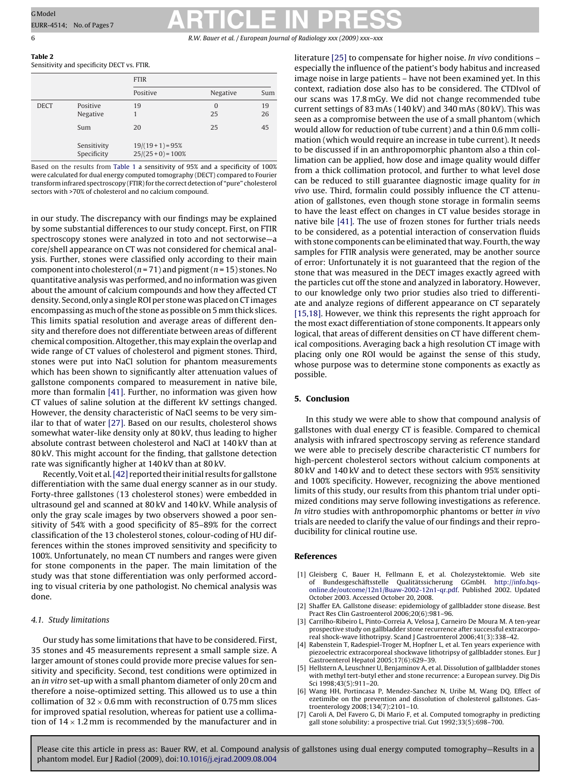### <span id="page-5-0"></span>GModel RIGRAFICLE IN PRESS

6 R.W. Bauer et al. / European Journal of Radiology *xxx (2009) xxx–xxx*

#### **Table 2** Sensitivity and specificity DECT vs. FTIR.

|             |                            | <b>FTIR</b>                             |                |          |  |  |  |  |
|-------------|----------------------------|-----------------------------------------|----------------|----------|--|--|--|--|
|             |                            | Positive                                | Negative       | Sum      |  |  |  |  |
| <b>DECT</b> | Positive<br>Negative       | 19<br>1                                 | $\Omega$<br>25 | 19<br>26 |  |  |  |  |
|             | Sum                        | 20                                      | 25             | 45       |  |  |  |  |
|             | Sensitivity<br>Specificity | $19/(19+1) = 95%$<br>$25/(25+0) = 100%$ |                |          |  |  |  |  |

Based on the results from [Table 1](#page-4-0) a sensitivity of 95% and a specificity of 100% were calculated for dual energy computed tomography (DECT) compared to Fourier transform infrared spectroscopy (FTIR) for the correct detection of "pure" cholesterol sectors with >70% of cholesterol and no calcium compound.

in our study. The discrepancy with our findings may be explained by some substantial differences to our study concept. First, on FTIR spectroscopy stones were analyzed in toto and not sectorwise—a core/shell appearance on CT was not considered for chemical analysis. Further, stones were classified only according to their main component into cholesterol ( $n = 71$ ) and pigment ( $n = 15$ ) stones. No quantitative analysis was performed, and no information was given about the amount of calcium compounds and how they affected CT density. Second, only a single ROI per stone was placed on CT images encompassing as much of the stone as possible on 5 mm thick slices. This limits spatial resolution and average areas of different density and therefore does not differentiate between areas of different chemical composition. Altogether, this may explain the overlap and wide range of CT values of cholesterol and pigment stones. Third, stones were put into NaCl solution for phantom measurements which has been shown to significantly alter attenuation values of gallstone components compared to measurement in native bile, more than formalin [\[41\]. F](#page-6-0)urther, no information was given how CT values of saline solution at the different kV settings changed. However, the density characteristic of NaCl seems to be very similar to that of water [\[27\]. B](#page-6-0)ased on our results, cholesterol shows somewhat water-like density only at 80 kV, thus leading to higher absolute contrast between cholesterol and NaCl at 140 kV than at 80 kV. This might account for the finding, that gallstone detection rate was significantly higher at 140 kV than at 80 kV.

Recently, Voit et al.[\[42\]](#page-6-0) reported their initial results for gallstone differentiation with the same dual energy scanner as in our study. Forty-three gallstones (13 cholesterol stones) were embedded in ultrasound gel and scanned at 80 kV and 140 kV. While analysis of only the gray scale images by two observers showed a poor sensitivity of 54% with a good specificity of 85–89% for the correct classification of the 13 cholesterol stones, colour-coding of HU differences within the stones improved sensitivity and specificity to 100%. Unfortunately, no mean CT numbers and ranges were given for stone components in the paper. The main limitation of the study was that stone differentiation was only performed according to visual criteria by one pathologist. No chemical analysis was done.

#### 4.1. Study limitations

Our study has some limitations that have to be considered. First, 35 stones and 45 measurements represent a small sample size. A larger amount of stones could provide more precise values for sensitivity and specificity. Second, test conditions were optimized in an in vitro set-up with a small phantom diameter of only 20 cm and therefore a noise-optimized setting. This allowed us to use a thin collimation of  $32 \times 0.6$  mm with reconstruction of 0.75 mm slices for improved spatial resolution, whereas for patient use a collimation of  $14 \times 1.2$  mm is recommended by the manufacturer and in

literature [\[25\]](#page-6-0) to compensate for higher noise. In vivo conditions – especially the influence of the patient's body habitus and increased image noise in large patients – have not been examined yet. In this context, radiation dose also has to be considered. The CTDIvol of our scans was 17.8 mGy. We did not change recommended tube current settings of 83 mAs (140 kV) and 340 mAs (80 kV). This was seen as a compromise between the use of a small phantom (which would allow for reduction of tube current) and a thin 0.6 mm collimation (which would require an increase in tube current). It needs to be discussed if in an anthropomorphic phantom also a thin collimation can be applied, how dose and image quality would differ from a thick collimation protocol, and further to what level dose can be reduced to still guarantee diagnostic image quality for in vivo use. Third, formalin could possibly influence the CT attenuation of gallstones, even though stone storage in formalin seems to have the least effect on changes in CT value besides storage in native bile [\[41\]. T](#page-6-0)he use of frozen stones for further trials needs to be considered, as a potential interaction of conservation fluids with stone components can be eliminated that way. Fourth, the way samples for FTIR analysis were generated, may be another source of error: Unfortunately it is not guaranteed that the region of the stone that was measured in the DECT images exactly agreed with the particles cut off the stone and analyzed in laboratory. However, to our knowledge only two prior studies also tried to differentiate and analyze regions of different appearance on CT separately [\[15,18\]. H](#page-6-0)owever, we think this represents the right approach for the most exact differentiation of stone components. It appears only logical, that areas of different densities on CT have different chemical compositions. Averaging back a high resolution CT image with placing only one ROI would be against the sense of this study, whose purpose was to determine stone components as exactly as possible.

#### **5. Conclusion**

In this study we were able to show that compound analysis of gallstones with dual energy CT is feasible. Compared to chemical analysis with infrared spectroscopy serving as reference standard we were able to precisely describe characteristic CT numbers for high-percent cholesterol sectors without calcium components at 80 kV and 140 kV and to detect these sectors with 95% sensitivity and 100% specificity. However, recognizing the above mentioned limits of this study, our results from this phantom trial under optimized conditions may serve following investigations as reference. In vitro studies with anthropomorphic phantoms or better in vivo trials are needed to clarify the value of our findings and their reproducibility for clinical routine use.

#### **References**

- [1] Gleisberg C, Bauer H, Fellmann E, et al. Cholezystektomie. Web site of Bundesgeschäftsstelle Qualitätssicherung GGmbH. [http://info.bqs](http://info.bqs-online.de/outcome/12n1/Buaw-2002-12n1-qr.pdf)online.de/outcome/12n1/Buaw-2002-12n1-qr.pdf. Published 2002. Updated October 2003. Accessed October 20, 2008.
- [2] Shaffer EA. Gallstone disease: epidemiology of gallbladder stone disease. Best Pract Res Clin Gastroenterol 2006;20(6):981–96.
- [3] Carrilho-Ribeiro L, Pinto-Correia A, Velosa J, Carneiro De Moura M. A ten-year prospective study on gallbladder stone recurrence after successful extracorporeal shock-wave lithotripsy. Scand J Gastroenterol 2006;41(3):338–42.
- [4] Rabenstein T, Radespiel-Troger M, Hopfner L, et al. Ten years experience with piezoelectric extracorporeal shockwave lithotripsy of gallbladder stones. Eur J Gastroenterol Hepatol 2005;17(6):629–39.
- [5] Hellstern A, Leuschner U, Benjaminov A, et al. Dissolution of gallbladder stones with methyl tert-butyl ether and stone recurrence: a European survey. Dig Dis Sci 1998;43(5):911–20.
- [6] Wang HH, Portincasa P, Mendez-Sanchez N, Uribe M, Wang DQ. Effect of ezetimibe on the prevention and dissolution of cholesterol gallstones. Gastroenterology 2008;134(7):2101–10.
- [7] Caroli A, Del Favero G, Di Mario F, et al. Computed tomography in predicting gall stone solubility: a prospective trial. Gut 1992;33(5):698–700.